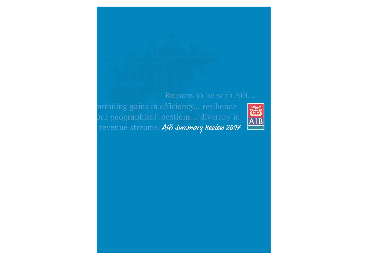# Reasons to be with AIB...

ntinuing gains in efficiency... resilience bur geographical locations... diversity in revenue streams. AIB Summary Review 2007

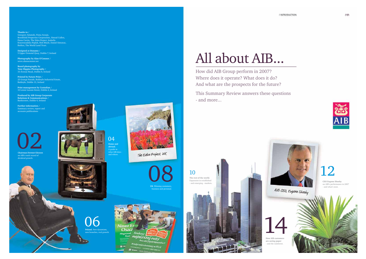



How did AIB Group perform in 2007? Where does it operate? What does it do? And what are the prospects for the future?

This Summary Review answers these questions - and more...

# All about AIB...

10



**CEO Eugene Sheehy**  on AIB's performance in 2007 - and what's next.



**The rest of the world.** Expansion in established - and emerging - markets.





**How AIB customersare saving paper** - and the rainforest.

**Thanks to /**  Grzegorz Adamski, Fiona Araujo, Brookfield Properties Corporation, Sinead Cullen, Fiona Curtin, The Eden Project, Izabella Krzywosadzka-Pajdak, Rob Moyle, Daniel Simunac, Rothco, The World Land Trust.

**Designed at Dynamo /** 5 Upper Ormond Quay, Dublin 7, Ireland

**Photography by Alan O'Connor /** www.alanoconnor.net

**Board photography by Tony Higgins Photography /** 33 Avenue Road, Dublin 8, Ireland

**Printed by Future Print /** 25 Grange Parade, Baldoyle Industrial Estate, Baldoyle, Dublin 13, Ireland

**Print management by Custodian /** 33 Lower Leeson Street, Dublin 2, Ireland

**Produced by AIB Group Corporate Relations & Communications /** Bankcentre, Dublin 4, Ireland

**Further information /** Summary review, report and accounts publications



**Chairman Dermot Gleeson** on AIB's track record of dividend growth.



08 **UK.** Winning customers,

business and personal.



v branches, real growth.

04

**Home and abroad.** A guide to what AIB does and where.



The Eden Project, UK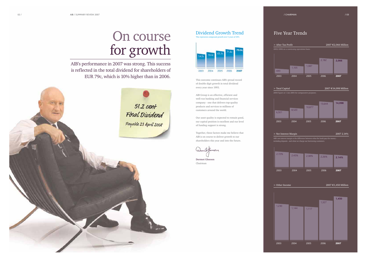# Dividend Growth Trend nd growth over 5 years of 10%



> After Tax Profit

AIB's performance in 2007 was strong. This success is reflected in the total dividend for shareholders of EUR 79c, which is 10% higher than in 2006.<br>This outcome continues AIB's proud record



> Other Income

# 2007 €1,450 Million

# Five Year Trends

# On course for growth

| % | 2.45% | 2.38% | 2.26% | 2.14% |
|---|-------|-------|-------|-------|
|   | 2004  | 2005  | 2006  | 2007  |

# 2007 €2,066 Million 2003/2006 on a continuing operations basis. > Total Capital 2007 €14,098 Million  $2004$  figure at 1 Jan 2005 for comparative purpos > Net Interest Margin 2007 2.14% 1,105 2003 2004 2005 20062006 1,387 2,182 20072,066 8,520 2003 2004 2005 200610,877 13,644 200714,098

AIB's net interest margin is the difference between what the bank pays for mone<sub>.</sub> - and what we charge our bo

of double digit growth in total dividend every year since 1993.

AIB Group is an effective, efficient and well-run banking and financial services company - one that delivers top-quality products and services to millions of customers around the world.

Our asset quality is expected to remain good, our capital position is excellent and our level of funding support is strong.

Together, these factors make me believe that AIB is on course to deliver growth to our shareholders this year and into the future.

Shkeewin

**Dermot Gleeson** Chairman



6,501

2.72%

2003



1,230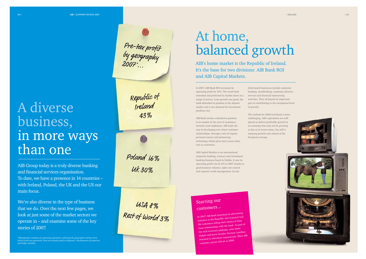In 2007, AIB Bank ROI increased its operating profit by 14%. The retail bank extended and protected its market share in a range of sectors. Loan growth was good, the bank defended its position in the deposit market and it saw demand for investmentproducts rise.

AIB Bank retains a distinctive position in its market in the eyes of customers, investors and employees. AIB leads the way in developing ever closer customer relationships, through a mix of regular personal contact and pioneering technology which gives more access than ever to customers.

AIB Capital Markets is an international corporate banking, treasury and investment banking business based in Dublin. It saw its operating profit rise by 6% in 2007 thanks to good business volumes, tight cost control and superior credit management. Its key

Pre-tax profit<br>by geography<br>2007\*...

Republic of<br>Ireland

43%

Poland 16%

Uk 30%

USA 8%<br>Rest of World 3%

Irish-based businesses include corporate banking, stockbroking, corporate advisory services and financial outsourcing activities. They all played an important part in contributing to the exceptional level of growth.

The outlook for 2008 in Ireland is morechallenging. AIB's operations are well placed to deliver profitable growth in an economy that may not be growing as fast as in recent times, but still is enjoying growth rates ahead of the European average.

AIB's home market is the Republic of Ireland. It's the base for two divisions: AIB Bank ROI and AIB Capital Markets.

# At home, balanced growth





# A diversebusiness, in more ways than one

AIB Group today is a truly diverse banking and financial services organisation. To date, we have a presence in 14 countries – with Ireland, Poland, the UK and the US our main focus.

We're also diverse in the type of business that we do. Over the next few pages, we look at just some of the market sectors we operate in – and examine some of the key stories of 2007.

 $^*$ Management estimate of continuing operations reflecting the geographic markets from<br>which profit was generated. Does not include profit on disposal / development of properties<br>and hedge volatility.

Starring our customers...

In 2007, AIB Bank launched an advertising initiative in the Republic that featured real life customers telling their stories of their close relationships with the bank. As part o<sup>f</sup> the well received campaign, actor Peter Halpin and horse breeder Dermot Cantillon featured in television commercials. More AIB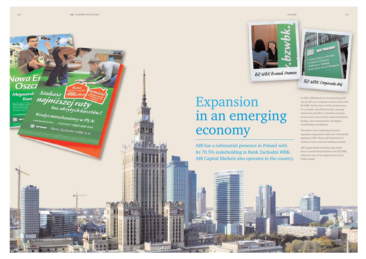Nowa Er<br>Oszcz

 $\begin{array}{c} \begin{array}{c} \text{const.}\\ \text{c.}\\ \hline \end{array} \end{array}$ 

\*\*\*\*\*\* 11. 数 期 期 加 超 **L.M.M.M.H.R** 经税务表示

Megazarak Szukasz 186,09zł Nowości<br>Kont najniższej raty

 $\overbrace{B}^{\text{wwe know}}\overbrace{B}^{\text{wwe know}}\overbrace{B}^{\text{wwe know}}\overbrace{B}^{\text{wwe know}}\overbrace{B}^{\text{wwe know}}\overbrace{B}^{\text{wwe know}}\overbrace{B}^{\text{wwe know}}\overbrace{B}^{\text{wwe know}}$ 

E WELL Bank Zachodni WBK S.A.





**BZ WBK Corporate HQ** 

In 2007, AIB Poland saw its operating profit rise by 29% on a constant currency basis with BZ WBK, the key driver of this performance. It's a modern and efficient bank, enjoying well spread growth in a dynamic economy across sectors that include retail and business lending, asset management, mortgages, stockbroking and deposits.

The bank is now continuing its branch expansion programme which saw 34 branches opening in 2007 along with investment in business centres and new banking channels.

AIB Capital Markets division also jointly owns a mutual funds business with BZ WBK, which has one of the largest shares of the Polish market.



# Expansion in an emerging economy

AIB has a substantial presence in Poland with its 70.5% stakeholding in Bank Zachodni WBK. AIB Capital Markets also operates in the country.

and assemble the company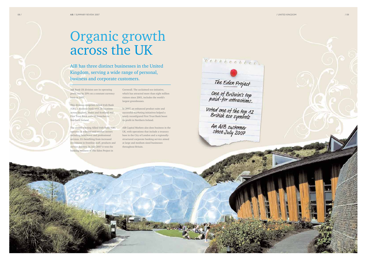

AIB has three distinct businesses in the UnitedKingdom, serving a wide range of personal, business and corporate customers.

AIB Bank UK division saw its operating profit rise by 20% on a constant currency basis in 2007.

This division comprises Allied Irish Bank (GB), a business bank with 38 locations across England, Wales and Scotland and First Trust Bank with 52 branches in Northern Ireland.

The award-winning Allied Irish Bank (GB) operates in selected mid-market sectors including healthcare and professional services. It's benefiting from increased investment in frontline staff, products and service delivery. In July 2007 it won the banking business of The Eden Project in

Cornwall. The acclaimed eco initiative, which has attracted more than eight million visitors since 2001, includes the world's largest greenhouses.

In 2007, an enhanced product suite and successful marketing initiatives helped a newly reconfigured First Trust Bank boost its profit in Northern Ireland.

AIB Capital Markets also does business in the UK, with operations that include a treasury base in the City of London and a regionallystructured corporate banking service aimed at large and medium sized businesses throughout Britain.



An AIB customer<br>since July 2007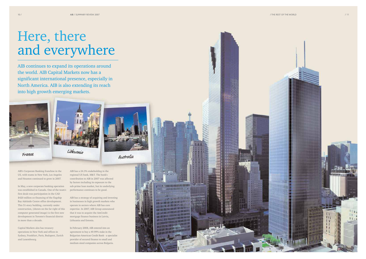



# Here, there and everywhere

AIB continues to expand its operations around the world. AIB Capital Markets now has a significant international presence, especially in North America. AIB is also extending its reach into high growth emerging markets.



France



AIB's Corporate Banking franchise in the US, with teams in New York, Los Angeles and Houston continued to grow in 2007.

In May, a new corporate banking operation was established in Canada. One of the team's first deals was participation in the CAD \$420 million co-financing of the flagship Bay Adelaide Centre office development. This 51-story building, currently under construction, (shown on the far right of this computer generated image) is the first new development in Toronto's financial district in more than a decade.

Capital Markets also has treasury operations in New York and offices in Sydney, Frankfurt, Paris, Budapest, Zurich and Luxembourg.

AIB has a 24.3% stakeholding in the regional US bank, M&T. The bank's contribution to AIB in 2007 was affected by factors including its exposure to the sub-prime loan market, but its underlying performance continues to be good.

AIB has a strategy of acquiring and investing in businesses in high growth markets who operate in sectors where AIB has core expertise. In 2007, AIB Group announced that it was to acquire the AmCredit mortgage finance business in Latvia, Lithuania and Estonia.

In February 2008, AIB entered into an agreement to buy a 49.99% stake in the Bulgarian-American Credit Bank - a specialist provider of secured finance to small and medium sized companies across Bulgaria.



Hilling H. H. **MARKOON AND ALL OF MARITIMO DI DI DI DI DI DI DI DI** 

 $10/$ 

THE REPORT OF LAND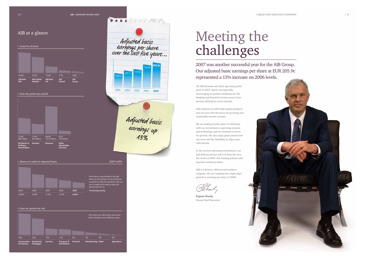# Meeting the challenges

2007 was another successful year for the AIB Group. Our adjusted basic earnings per share at EUR 205.9c represented a 13% increase on 2006 levels.

All AIB divisions saw their operating profit grow in 2007 which was especially encouraging as market conditions for the banking and financial services sector have become difficult in recent months.

AIB continues to offer high quality products and services with the focus on recurring and sustainable income streams.

We are making further gains in efficiency with our investment in operating systems and technology and we continue to invest for growth. We also enjoy good control over our costs and the flexibility to align costs with income.

In the current operating environment, our bad debt provisions will rise from the very low levels of 2007. Our lending policies and practices remain prudent.



AIB is a diverse, efficient and resilient company. We are targeting low single digit growth in earnings per share in 2008.

hee

**Eugene Sheehy** Group Chief Executive



# AIB at a glance

# > Assets by division



# > How the profit was used  $\in$

# > Money set aside for impaired loans 2007 0.09%

# > How we spread our risk





**\*Continuing activit** 



money they owe us.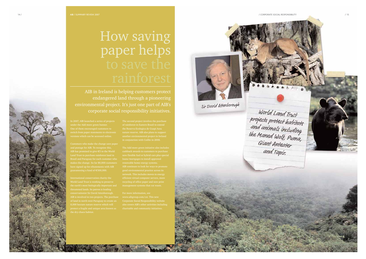

# How saving paper helps

AIB in Ireland is helping customers protect endangered land through a pioneering environmental project. It's just one part of AIB's corporate social responsibility initiatives.

under the Add more green banner.

and postage for AIB. To recognise this,

World Land Trust is working to preserve the earth's most biologically important and threatened lands. Its patron is leading protect a fragile and unique area known as

of rainforest in Eastern Brazil to extend the Reserva Ecologica de Guapi Assu

cashback awards to customers to purchase loans/mortgages to install approved



Sir David Attenborough

World Land Trust projects protect habitats<br>and animals including<br>the Maned Wolf, Puma,<br>Giant Anto Giant Anteater and Tapir.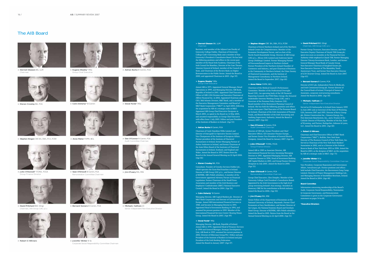# The AIB Board



**> Dermot Gleeson** BA, LLMChairman





**> Eugene Sheehy**\* MSc Group Chief Executive



**HEL** 

**> Sean O'Driscoll** B Comm, FCARemuneration Committee Chairman

**> Anne Maher** FIIPM, BCL





**> Stephen Kingon** CBE BA, DBA, FCA, FCIM **> Dan O'Connor** B Comm, FCA Audit Committee Chairman

**> Adrian Burke** B Comm, FCA



**> Jim O'Leary** MA, MSI



**> David Pritchard** BSC (Eng) Chairman, AIB Group (UK) p.l.c

**> John O'Donnell**\* FCMA, FCCA Group Finance Director



**> Robert G Wilmers**

**> Bernard Somers**



 **> Jennifer Winter** B ScCorporate Social Responsibility Committee Chairman



Senior Independent Non-Executive Director

 $>$  Michael J Sullivan JD

# **> Dermot Gleeson** BA, LLM Chairman

Barrister, and member of the Adjunct Law Faculty of University College Dublin. Chairman of University College Cork's Governing Body and a member of that University's President's Consultative Board. He has held the following positions and offices in the recent past: member of the Royal Irish Academy, Chairman of the Irish Council for Bioethics, Director of the Gate Theatre, Attorney General of Ireland, member of the Council of State, and Chairman of the Review Body on Higher Remuneration in the Public Sector. Joined the Board in 2000, and appointed Chairman in 2003. (Age 59)

### **> Eugene Sheehy**\* MSc **Group Chief Executive**

Joined AIB in 1971. Appointed General Manager, Retail Operations in 1999, and Managing Director, AIB Bank, Republic of Ireland in 2001. Appointed Chief Executive Officer of AIB's USA Division and Executive Chairman ofAllfirst Financial Inc. in 2002. Appointed Chairman and CEO, Mid Atlantic Division, M&T Bank, and a member of the Executive Management Committee and Board of M&T Bank Corporation ("M&T") in April 2003, following the acquisition by AIB of a strategic stake in M&T. Appointed AIB Group Chief Executive-Designate in March 2005, co-opted to the Board on 12 May 2005, and assumed responsibility as Group Chief Executive with effect from 1 July 2005. Fellow and past President of the Institute of Bankers in Ireland. (Age 53)

# **> Adrian Burke** B Comm, FCA

Chairman of Coyle Hamilton Willis Limited and Director of Dairygold Co-Operative Society Limited. Vice Chairperson of the Institute of European Affairs. Former president of the Institute of Chartered Accountants in Ireland, former Managing Partner of Arthur Andersen in Ireland, and former Chairman of the Joint Ethics Board of the Institutes of Chartered Accountants in Ireland, Scotland, and England and Wales. Joined the Board in 1997. Retires from the Board at the Annual General Meeting on 22 April 2008. (Age 66)

# **> Kieran Crowley** BA, FCA

Consultant. Founder of Crowley Services Dublin Ltd., which operates the Dyno-Rod franchise in Ireland. Director of AIB Group (UK) p.l.c., and former Director of BZWBK, AIB's Polish subsidiary. A member of the Government appointed Advisory Forum on Financial Legislation. Former Chairman of the Small Firms Association and member of the Irish Business and Employers' Confederation (IBEC) National Executive Council. Joined the Board in 2004. (Age 56)

# **> Colm Doherty**\* B Comm

Managing Director, AIB Capital Markets plc. Director of M&T Bank Corporation and Director of Commerzbank Europe. Joined AIB International Financial Services in 1988, and became its Managing Director in 1991. Appointed Head of Investment Banking in 1994, and assumed his present position in 1999. Member of the International Financial Services Centre Clearing House Group. Joined the Board in 2003. (Age 49)

# **> Donal Forde**\* MSc

Managing Director, AIB Bank, Republic of Ireland. Joined AIB in 1978. Appointed Head of Treasury Services in 1998 and General Manager, Strategic Development Unit, AIB Bank in 1999; assumed his current position in 2002. Director of Hibernian Group PLC. Fellow and past President of the Institute of Bankers in Ireland and past President of the Irish Banking Federation. Joined the Board in January 2007. (Age 47)

# **> Stephen Kingon** CBE BA, DBA, FCA, FCIM

Chairman of Invest Northern Ireland and of the Northern Ireland Centre for Competitiveness. Member of the Economic Development Forum, and co-chair of the North/South Roundtable Group. Director of AIB Group (UK) p.l.c., Mivan (UK) Limited and Anderson Spratt Group (Holdings) Limited. Former Managing Partner of PricewaterhouseCoopers in Northern Ireland. Former President of the Northern Ireland Chamber of Commerce and Industry, and past-Chairman of Business in the Community in Northern Ireland, the Ulster Society of Chartered Accountants, and the Institute of Management Consultancy in Northern Ireland. Joined the Board in September 2007. (Age 60)

# **> Anne Maher** FIIPM, BCL

Chairman of the Medical Council's Performance Committee. Member of the Professional Oversight Board (UK), (an operating body of the UK Financial Reporting Council); the FTSE Policy Group; the Actuarial Stakeholder Interests Working Group (UK); and a Governor of the Pensions Policy Institute (UK). Board member of the Retirement Planning Council of Ireland. She has held the following positions and offices in the recent past: Chief Executive of The Pensions Board for Ireland, Chairman of the Irish Association of Pension Funds, and Board Member of the Irish Accounting and Auditing Supervisory Authority. Joined the Board in January 2007. (Age 62)

#### **> Dan O'Connor** B Comm, FCA Audit Committee Chairman

Director of CRH plc, former President and Chief Executive Officer, GE Consumer Finance Europe, and former Senior Vice-President of General Electric Company. Joined the Board in January 2007. (Age 48)

#### **> John O'Donnell**\* FCMA, FCCA Group Finance Director

Joined AIB in 1989 as Associate Director, AIB International Financial Services, becoming Managing Director in 1995. Appointed Managing Director, AIB Corporate Finance in 1996, Head of Investment Banking, AIB Capital Markets in 2001, and Group Finance Director-Designate in July 2005. Joined the Board in 2006. (Age 53)

# **> Sean O'Driscoll** B Comm, FCA

Remuneration Committee ChairmanGroup Chief Executive, Glen Dimplex. Member of the University College Cork President's Consultative Board.

Appointed by the Irish Government to the high-level group overseeing Ireland's Asia strategy. Awarded an Honorary OBE for his contribution to British industry. Joined the Board in 2006. (Age 50)

# **> Jim O'Leary** MA, MSI

Senior Fellow of the Department of Economics at the National University of Ireland, Maynooth. Former Chief Economist at Davy Stockbrokers, and former Director of Aer Lingus, the National Statistics Board and Gresham Hotel Group. Director of BZWBK, AIB's Polish subsidiary. Joined the Board in 2001. Retires from the Board at the Annual General Meeting on 22 April 2008. (Age 51)

# **> David Pritchard** BSC (Eng)

Chairman, AIB Group (UK) p.l.c

Former Group Treasurer, Executive Director, and Non-Executive Deputy Chairman of Lloyds TSB Group plc; spent two years as secondee at the Financial Services Authority while employed at Lloyds TSB. Former Managing Director Citicorp Investment Bank, London, and former General Manager Royal Bank of Canada Group. Non-Executive Chairman of Songbird Estates plc, Non-Executive Director of The Motability Tenth Anniversary Trust, and former Non-Executive Director of LCH Clearnet Group. Joined the Board in June 2007. (Age 63)

# **> Bernard Somers** B Comm, FCA

Director of DCC plc, Independent News & Media plc, and Irish Continental Group plc. Former director of the Central Bank of Ireland. Principal of Somers & Associates, corporate restructuring consultants. Joined the Board in 2006. (Age 58)

# **> Michael J Sullivan** JD

Served as US Ambassador to Ireland from January 1999 to June 2001 and as Governor of the State of Wyoming, USA, between 1987 and 1995. Director of Kerry Group plc, Sletten Construction Inc., Cimarex Energy, Inc., First Interstate BancSystem, Inc., and a Trustee of the Catholic Diocese of Wyoming. Member of the Bar, State of Wyoming, and Partner, Rothgerber, Johnson & Lyons, LLC. Joined the Board in 2001. (Age 68)

### **> Robert G Wilmers**

Chairman and Chief Executive Officer of M&T Bank Corporation ("M&T"), Buffalo, New York State. Director of The Business Council of New York State, Inc. Served as Chairman of the New York State Bankers' Association in 2002, and as a Director of the Federal Reserve Bank of New York from 1993 to 1998. Joined the Board in 2003, as the designee of M&T, on the acquisition by AIB of a strategic stake in M&T. (Age 73)

### **> Jennifer Winter** B Sc

Corporate Social Responsibility Committee Chairman Vice-President, Corporate Reputation and Government Affairs, AstraZeneca plc. Former positions and offices held include Chief Executive, the Barretstown Gang Camp Limited, Director of Project Management Holdings Ltd., and Managing Director of SmithKline Beecham, Ireland. Joined the Board in 2004. (Age 48)

### **Board Commitee**

Information concerning membership of the Board's Audit, Corporate Social Responsibility, Nomination & Corporate Governance, and Remuneration Committees is given in the Corporate Governance statement on pages 54 to 60.

### **\*Executive Directors**